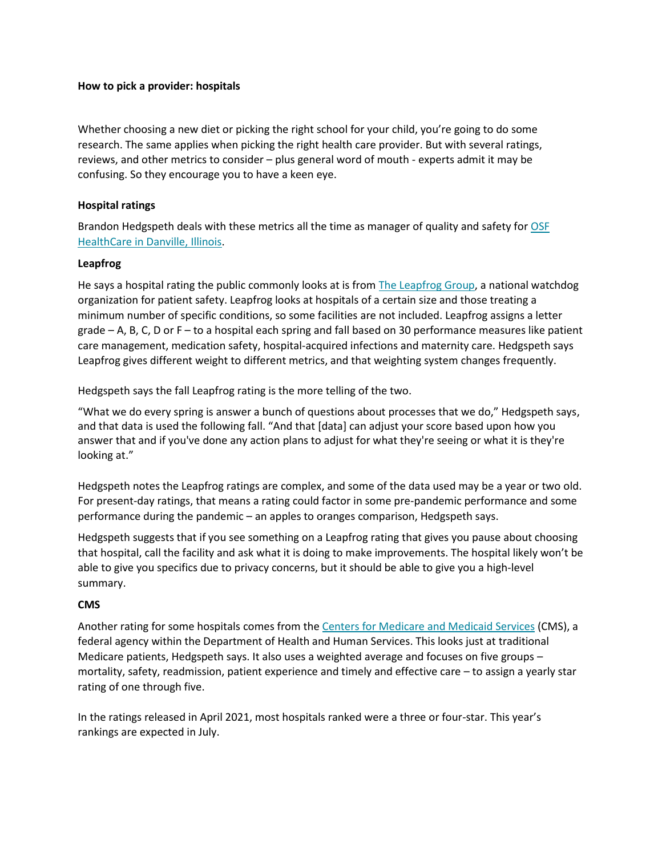## **How to pick a provider: hospitals**

Whether choosing a new diet or picking the right school for your child, you're going to do some research. The same applies when picking the right health care provider. But with several ratings, reviews, and other metrics to consider – plus general word of mouth - experts admit it may be confusing. So they encourage you to have a keen eye.

## **Hospital ratings**

Brandon Hedgspeth deals with these metrics all the time as manager of quality and safety for [OSF](https://www.osfhealthcare.org/sacred-heart/)  [HealthCare in Danville, Illinois.](https://www.osfhealthcare.org/sacred-heart/)

#### **Leapfrog**

He says a hospital rating the public commonly looks at is from [The Leapfrog Group,](https://www.hospitalsafetygrade.org/) a national watchdog organization for patient safety. Leapfrog looks at hospitals of a certain size and those treating a minimum number of specific conditions, so some facilities are not included. Leapfrog assigns a letter grade – A, B, C, D or F – to a hospital each spring and fall based on 30 performance measures like patient care management, medication safety, hospital-acquired infections and maternity care. Hedgspeth says Leapfrog gives different weight to different metrics, and that weighting system changes frequently.

Hedgspeth says the fall Leapfrog rating is the more telling of the two.

"What we do every spring is answer a bunch of questions about processes that we do," Hedgspeth says, and that data is used the following fall. "And that [data] can adjust your score based upon how you answer that and if you've done any action plans to adjust for what they're seeing or what it is they're looking at."

Hedgspeth notes the Leapfrog ratings are complex, and some of the data used may be a year or two old. For present-day ratings, that means a rating could factor in some pre-pandemic performance and some performance during the pandemic – an apples to oranges comparison, Hedgspeth says.

Hedgspeth suggests that if you see something on a Leapfrog rating that gives you pause about choosing that hospital, call the facility and ask what it is doing to make improvements. The hospital likely won't be able to give you specifics due to privacy concerns, but it should be able to give you a high-level summary.

## **CMS**

Another rating for some hospitals comes from the [Centers for Medicare and Medicaid Services](https://data.cms.gov/provider-data/topics/hospitals/overall-hospital-quality-star-rating/) (CMS), a federal agency within the Department of Health and Human Services. This looks just at traditional Medicare patients, Hedgspeth says. It also uses a weighted average and focuses on five groups – mortality, safety, readmission, patient experience and timely and effective care – to assign a yearly star rating of one through five.

In the ratings released in April 2021, most hospitals ranked were a three or four-star. This year's rankings are expected in July.